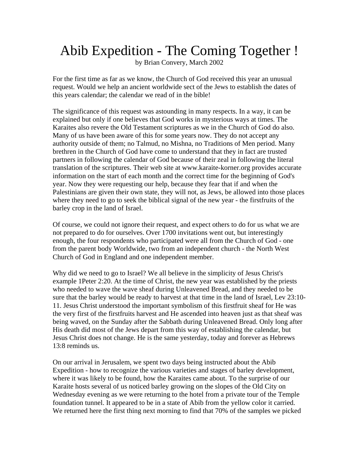## Abib Expedition - The Coming Together !

by Brian Convery, March 2002

For the first time as far as we know, the Church of God received this year an unusual request. Would we help an ancient worldwide sect of the Jews to establish the dates of this years calendar; the calendar we read of in the bible!

The significance of this request was astounding in many respects. In a way, it can be explained but only if one believes that God works in mysterious ways at times. The Karaites also revere the Old Testament scriptures as we in the Church of God do also. Many of us have been aware of this for some years now. They do not accept any authority outside of them; no Talmud, no Mishna, no Traditions of Men period. Many brethren in the Church of God have come to understand that they in fact are trusted partners in following the calendar of God because of their zeal in following the literal translation of the scriptures. Their web site at www.karaite-korner.org provides accurate information on the start of each month and the correct time for the beginning of God's year. Now they were requesting our help, because they fear that if and when the Palestinians are given their own state, they will not, as Jews, be allowed into those places where they need to go to seek the biblical signal of the new year - the firstfruits of the barley crop in the land of Israel.

Of course, we could not ignore their request, and expect others to do for us what we are not prepared to do for ourselves. Over 1700 invitations went out, but interestingly enough, the four respondents who participated were all from the Church of God - one from the parent body Worldwide, two from an independent church - the North West Church of God in England and one independent member.

Why did we need to go to Israel? We all believe in the simplicity of Jesus Christ's example 1Peter 2:20. At the time of Christ, the new year was established by the priests who needed to wave the wave sheaf during Unleavened Bread, and they needed to be sure that the barley would be ready to harvest at that time in the land of Israel, Lev 23:10- 11. Jesus Christ understood the important symbolism of this firstfruit sheaf for He was the very first of the firstfruits harvest and He ascended into heaven just as that sheaf was being waved, on the Sunday after the Sabbath during Unleavened Bread. Only long after His death did most of the Jews depart from this way of establishing the calendar, but Jesus Christ does not change. He is the same yesterday, today and forever as Hebrews 13:8 reminds us.

On our arrival in Jerusalem, we spent two days being instructed about the Abib Expedition - how to recognize the various varieties and stages of barley development, where it was likely to be found, how the Karaites came about. To the surprise of our Karaite hosts several of us noticed barley growing on the slopes of the Old City on Wednesday evening as we were returning to the hotel from a private tour of the Temple foundation tunnel. It appeared to be in a state of Abib from the yellow color it carried. We returned here the first thing next morning to find that 70% of the samples we picked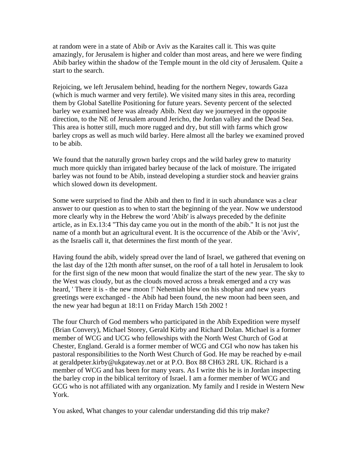at random were in a state of Abib or Aviv as the Karaites call it. This was quite amazingly, for Jerusalem is higher and colder than most areas, and here we were finding Abib barley within the shadow of the Temple mount in the old city of Jerusalem. Quite a start to the search.

Rejoicing, we left Jerusalem behind, heading for the northern Negev, towards Gaza (which is much warmer and very fertile). We visited many sites in this area, recording them by Global Satellite Positioning for future years. Seventy percent of the selected barley we examined here was already Abib. Next day we journeyed in the opposite direction, to the NE of Jerusalem around Jericho, the Jordan valley and the Dead Sea. This area is hotter still, much more rugged and dry, but still with farms which grow barley crops as well as much wild barley. Here almost all the barley we examined proved to be abib.

We found that the naturally grown barley crops and the wild barley grew to maturity much more quickly than irrigated barley because of the lack of moisture. The irrigated barley was not found to be Abib, instead developing a sturdier stock and heavier grains which slowed down its development.

Some were surprised to find the Abib and then to find it in such abundance was a clear answer to our question as to when to start the beginning of the year. Now we understood more clearly why in the Hebrew the word 'Abib' is always preceded by the definite article, as in Ex.13:4 "This day came you out in the month of the abib." It is not just the name of a month but an agricultural event. It is the occurrence of the Abib or the 'Aviv', as the Israelis call it, that determines the first month of the year.

Having found the abib, widely spread over the land of Israel, we gathered that evening on the last day of the 12th month after sunset, on the roof of a tall hotel in Jerusalem to look for the first sign of the new moon that would finalize the start of the new year. The sky to the West was cloudy, but as the clouds moved across a break emerged and a cry was heard, ' There it is - the new moon !' Nehemiah blew on his shophar and new years greetings were exchanged - the Abib had been found, the new moon had been seen, and the new year had begun at 18:11 on Friday March 15th 2002 !

The four Church of God members who participated in the Abib Expedition were myself (Brian Convery), Michael Storey, Gerald Kirby and Richard Dolan. Michael is a former member of WCG and UCG who fellowships with the North West Church of God at Chester, England. Gerald is a former member of WCG and CGI who now has taken his pastoral responsibilities to the North West Church of God. He may be reached by e-mail at geraldpeter.kirby@ukgateway.net or at P.O. Box 88 CH63 2RL UK. Richard is a member of WCG and has been for many years. As I write this he is in Jordan inspecting the barley crop in the biblical territory of Israel. I am a former member of WCG and GCG who is not affiliated with any organization. My family and I reside in Western New York.

You asked, What changes to your calendar understanding did this trip make?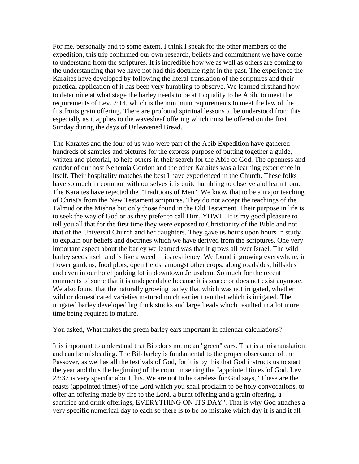For me, personally and to some extent, I think I speak for the other members of the expedition, this trip confirmed our own research, beliefs and commitment we have come to understand from the scriptures. It is incredible how we as well as others are coming to the understanding that we have not had this doctrine right in the past. The experience the Karaites have developed by following the literal translation of the scriptures and their practical application of it has been very humbling to observe. We learned firsthand how to determine at what stage the barley needs to be at to qualify to be Abib, to meet the requirements of Lev. 2:14, which is the minimum requirements to meet the law of the firstfruits grain offering. There are profound spiritual lessons to be understood from this especially as it applies to the wavesheaf offering which must be offered on the first Sunday during the days of Unleavened Bread.

The Karaites and the four of us who were part of the Abib Expedition have gathered hundreds of samples and pictures for the express purpose of putting together a guide, written and pictorial, to help others in their search for the Abib of God. The openness and candor of our host Nehemia Gordon and the other Karaites was a learning experience in itself. Their hospitality matches the best I have experienced in the Church. These folks have so much in common with ourselves it is quite humbling to observe and learn from. The Karaites have rejected the "Traditions of Men". We know that to be a major teaching of Christ's from the New Testament scriptures. They do not accept the teachings of the Talmud or the Mishna but only those found in the Old Testament. Their purpose in life is to seek the way of God or as they prefer to call Him, YHWH. It is my good pleasure to tell you all that for the first time they were exposed to Christianity of the Bible and not that of the Universal Church and her daughters. They gave us hours upon hours in study to explain our beliefs and doctrines which we have derived from the scriptures. One very important aspect about the barley we learned was that it grows all over Israel. The wild barley seeds itself and is like a weed in its resiliency. We found it growing everywhere, in flower gardens, food plots, open fields, amongst other crops, along roadsides, hillsides and even in our hotel parking lot in downtown Jerusalem. So much for the recent comments of some that it is undependable because it is scarce or does not exist anymore. We also found that the naturally growing barley that which was not irrigated, whether wild or domesticated varieties matured much earlier than that which is irrigated. The irrigated barley developed big thick stocks and large heads which resulted in a lot more time being required to mature.

You asked, What makes the green barley ears important in calendar calculations?

It is important to understand that Bib does not mean "green" ears. That is a mistranslation and can be misleading. The Bib barley is fundamental to the proper observance of the Passover, as well as all the festivals of God, for it is by this that God instructs us to start the year and thus the beginning of the count in setting the "appointed times 'of God. Lev. 23:37 is very specific about this. We are not to be careless for God says, "These are the feasts (appointed times) of the Lord which you shall proclaim to be holy convocations, to offer an offering made by fire to the Lord, a burnt offering and a grain offering, a sacrifice and drink offerings, EVERYTHING ON ITS DAY". That is why God attaches a very specific numerical day to each so there is to be no mistake which day it is and it all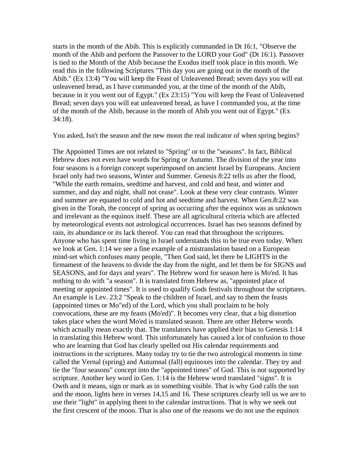starts in the month of the Abib. This is explicitly commanded in Dt 16:1, "Observe the month of the Abib and perform the Passover to the LORD your God" (Dt 16:1). Passover is tied to the Month of the Abib because the Exodus itself took place in this month. We read this in the following Scriptures "This day you are going out in the month of the Abib." (Ex 13:4) "You will keep the Feast of Unleavened Bread; seven days you will eat unleavened bread, as I have commanded you, at the time of the month of the Abib, because in it you went out of Egypt." (Ex 23:15) "You will keep the Feast of Unleavened Bread; seven days you will eat unleavened bread, as have I commanded you, at the time of the month of the Abib, because in the month of Abib you went out of Egypt." (Ex 34:18).

You asked, Isn't the season and the new moon the real indicator of when spring begins?

The Appointed Times are not related to "Spring" or to the "seasons". In fact, Biblical Hebrew does not even have words for Spring or Autumn. The division of the year into four seasons is a foreign concept superimposed on ancient Israel by Europeans. Ancient Israel only had two seasons, Winter and Summer. Genesis 8:22 tells us after the flood, "While the earth remains, seedtime and harvest, and cold and heat, and winter and summer, and day and night, shall not cease". Look at these very clear contrasts. Winter and summer are equated to cold and hot and seedtime and harvest. When Gen.8:22 was given in the Torah, the concept of spring as occurring after the equinox was as unknown and irrelevant as the equinox itself. These are all agricultural criteria which are affected by meteorological events not astrological occurrences. Israel has two seasons defined by rain, its abundance or its lack thereof. You can read that throughout the scriptures. Anyone who has spent time living in Israel understands this to be true even today. When we look at Gen. 1:14 we see a fine example of a mistranslation based on a European mind-set which confuses many people, "Then God said, let there be LIGHTS in the firmament of the heavens to divide the day from the night, and let them be for SIGNS and SEASONS, and for days and years". The Hebrew word for season here is Mo'ed. It has nothing to do with "a season". It is translated from Hebrew as, "appointed place of meeting or appointed times". It is used to qualify Gods festivals throughout the scriptures. An example is Lev. 23:2 "Speak to the children of Israel, and say to them the feasts (appointed times or Mo"ed) of the Lord, which you shall proclaim to be holy convocations, these are my feasts (Mo'ed)". It becomes very clear, that a big distortion takes place when the word Mo'ed is translated season. There are other Hebrew words which actually mean exactly that. The translators have applied their bias to Genesis 1:14 in translating this Hebrew word. This unfortunately has caused a lot of confusion to those who are learning that God has clearly spelled out His calendar requirements and instructions in the scriptures. Many today try to tie the two astrological moments in time called the Vernal (spring) and Autumnal (fall) equinoxes into the calendar. They try and tie the "four seasons" concept into the "appointed times" of God. This is not supported by scripture. Another key word in Gen. 1:14 is the Hebrew word translated "signs". It is Owth and it means, sign or mark as in something visible. That is why God calls the sun and the moon, lights here in verses 14,15 and 16. These scriptures clearly tell us we are to use their "light" in applying them to the calendar instructions. That is why we seek out the first crescent of the moon. That is also one of the reasons we do not use the equinox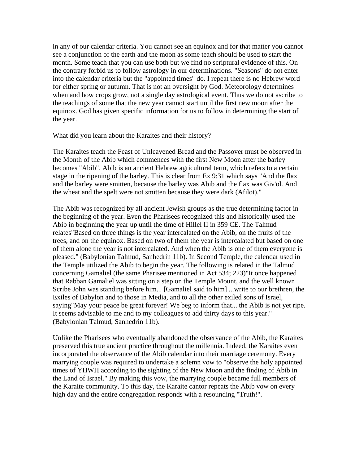in any of our calendar criteria. You cannot see an equinox and for that matter you cannot see a conjunction of the earth and the moon as some teach should be used to start the month. Some teach that you can use both but we find no scriptural evidence of this. On the contrary forbid us to follow astrology in our determinations. "Seasons" do not enter into the calendar criteria but the "appointed times" do. I repeat there is no Hebrew word for either spring or autumn. That is not an oversight by God. Meteorology determines when and how crops grow, not a single day astrological event. Thus we do not ascribe to the teachings of some that the new year cannot start until the first new moon after the equinox. God has given specific information for us to follow in determining the start of the year.

What did you learn about the Karaites and their history?

The Karaites teach the Feast of Unleavened Bread and the Passover must be observed in the Month of the Abib which commences with the first New Moon after the barley becomes "Abib". Abib is an ancient Hebrew agricultural term, which refers to a certain stage in the ripening of the barley. This is clear from Ex 9:31 which says "And the flax and the barley were smitten, because the barley was Abib and the flax was Giv'ol. And the wheat and the spelt were not smitten because they were dark (Afilot)."

The Abib was recognized by all ancient Jewish groups as the true determining factor in the beginning of the year. Even the Pharisees recognized this and historically used the Abib in beginning the year up until the time of Hillel II in 359 CE. The Talmud relates"Based on three things is the year intercalated on the Abib, on the fruits of the trees, and on the equinox. Based on two of them the year is intercalated but based on one of them alone the year is not intercalated. And when the Abib is one of them everyone is pleased." (Babylonian Talmud, Sanhedrin 11b). In Second Temple, the calendar used in the Temple utilized the Abib to begin the year. The following is related in the Talmud concerning Gamaliel (the same Pharisee mentioned in Act 534; 223)"It once happened that Rabban Gamaliel was sitting on a step on the Temple Mount, and the well known Scribe John was standing before him... [Gamaliel said to him] ...write to our brethren, the Exiles of Babylon and to those in Media, and to all the other exiled sons of Israel, saying"May your peace be great forever! We beg to inform that... the Abib is not yet ripe. It seems advisable to me and to my colleagues to add thirty days to this year." (Babylonian Talmud, Sanhedrin 11b).

Unlike the Pharisees who eventually abandoned the observance of the Abib, the Karaites preserved this true ancient practice throughout the millennia. Indeed, the Karaites even incorporated the observance of the Abib calendar into their marriage ceremony. Every marrying couple was required to undertake a solemn vow to "observe the holy appointed times of YHWH according to the sighting of the New Moon and the finding of Abib in the Land of Israel." By making this vow, the marrying couple became full members of the Karaite community. To this day, the Karaite cantor repeats the Abib vow on every high day and the entire congregation responds with a resounding "Truth!".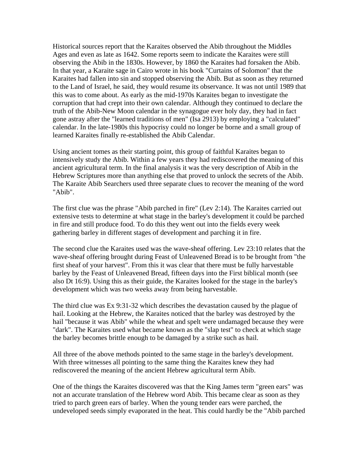Historical sources report that the Karaites observed the Abib throughout the Middles Ages and even as late as 1642. Some reports seem to indicate the Karaites were still observing the Abib in the 1830s. However, by 1860 the Karaites had forsaken the Abib. In that year, a Karaite sage in Cairo wrote in his book "Curtains of Solomon" that the Karaites had fallen into sin and stopped observing the Abib. But as soon as they returned to the Land of Israel, he said, they would resume its observance. It was not until 1989 that this was to come about. As early as the mid-1970s Karaites began to investigate the corruption that had crept into their own calendar. Although they continued to declare the truth of the Abib-New Moon calendar in the synagogue ever holy day, they had in fact gone astray after the "learned traditions of men" (Isa 2913) by employing a "calculated" calendar. In the late-1980s this hypocrisy could no longer be borne and a small group of learned Karaites finally re-established the Abib Calendar.

Using ancient tomes as their starting point, this group of faithful Karaites began to intensively study the Abib. Within a few years they had rediscovered the meaning of this ancient agricultural term. In the final analysis it was the very description of Abib in the Hebrew Scriptures more than anything else that proved to unlock the secrets of the Abib. The Karaite Abib Searchers used three separate clues to recover the meaning of the word "Abib".

The first clue was the phrase "Abib parched in fire" (Lev 2:14). The Karaites carried out extensive tests to determine at what stage in the barley's development it could be parched in fire and still produce food. To do this they went out into the fields every week gathering barley in different stages of development and parching it in fire.

The second clue the Karaites used was the wave-sheaf offering. Lev 23:10 relates that the wave-sheaf offering brought during Feast of Unleavened Bread is to be brought from "the first sheaf of your harvest". From this it was clear that there must be fully harvestable barley by the Feast of Unleavened Bread, fifteen days into the First biblical month (see also Dt 16:9). Using this as their guide, the Karaites looked for the stage in the barley's development which was two weeks away from being harvestable.

The third clue was Ex 9:31-32 which describes the devastation caused by the plague of hail. Looking at the Hebrew, the Karaites noticed that the barley was destroyed by the hail "because it was Abib" while the wheat and spelt were undamaged because they were "dark". The Karaites used what became known as the "slap test" to check at which stage the barley becomes brittle enough to be damaged by a strike such as hail.

All three of the above methods pointed to the same stage in the barley's development. With three witnesses all pointing to the same thing the Karaites knew they had rediscovered the meaning of the ancient Hebrew agricultural term Abib.

One of the things the Karaites discovered was that the King James term "green ears" was not an accurate translation of the Hebrew word Abib. This became clear as soon as they tried to parch green ears of barley. When the young tender ears were parched, the undeveloped seeds simply evaporated in the heat. This could hardly be the "Abib parched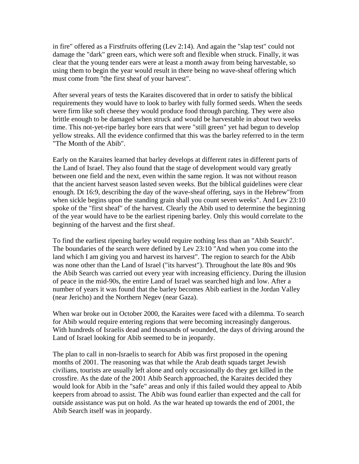in fire" offered as a Firstfruits offering (Lev 2:14). And again the "slap test" could not damage the "dark" green ears, which were soft and flexible when struck. Finally, it was clear that the young tender ears were at least a month away from being harvestable, so using them to begin the year would result in there being no wave-sheaf offering which must come from "the first sheaf of your harvest".

After several years of tests the Karaites discovered that in order to satisfy the biblical requirements they would have to look to barley with fully formed seeds. When the seeds were firm like soft cheese they would produce food through parching. They were also brittle enough to be damaged when struck and would be harvestable in about two weeks time. This not-yet-ripe barley bore ears that were "still green" yet had begun to develop yellow streaks. All the evidence confirmed that this was the barley referred to in the term "The Month of the Abib".

Early on the Karaites learned that barley develops at different rates in different parts of the Land of Israel. They also found that the stage of development would vary greatly between one field and the next, even within the same region. It was not without reason that the ancient harvest season lasted seven weeks. But the biblical guidelines were clear enough. Dt 16:9, describing the day of the wave-sheaf offering, says in the Hebrew"from when sickle begins upon the standing grain shall you count seven weeks". And Lev 23:10 spoke of the "first sheaf" of the harvest. Clearly the Abib used to determine the beginning of the year would have to be the earliest ripening barley. Only this would correlate to the beginning of the harvest and the first sheaf.

To find the earliest ripening barley would require nothing less than an "Abib Search". The boundaries of the search were defined by Lev 23:10 "And when you come into the land which I am giving you and harvest its harvest". The region to search for the Abib was none other than the Land of Israel ("its harvest"). Throughout the late 80s and 90s the Abib Search was carried out every year with increasing efficiency. During the illusion of peace in the mid-90s, the entire Land of Israel was searched high and low. After a number of years it was found that the barley becomes Abib earliest in the Jordan Valley (near Jericho) and the Northern Negev (near Gaza).

When war broke out in October 2000, the Karaites were faced with a dilemma. To search for Abib would require entering regions that were becoming increasingly dangerous. With hundreds of Israelis dead and thousands of wounded, the days of driving around the Land of Israel looking for Abib seemed to be in jeopardy.

The plan to call in non-Israelis to search for Abib was first proposed in the opening months of 2001. The reasoning was that while the Arab death squads target Jewish civilians, tourists are usually left alone and only occasionally do they get killed in the crossfire. As the date of the 2001 Abib Search approached, the Karaites decided they would look for Abib in the "safe" areas and only if this failed would they appeal to Abib keepers from abroad to assist. The Abib was found earlier than expected and the call for outside assistance was put on hold. As the war heated up towards the end of 2001, the Abib Search itself was in jeopardy.